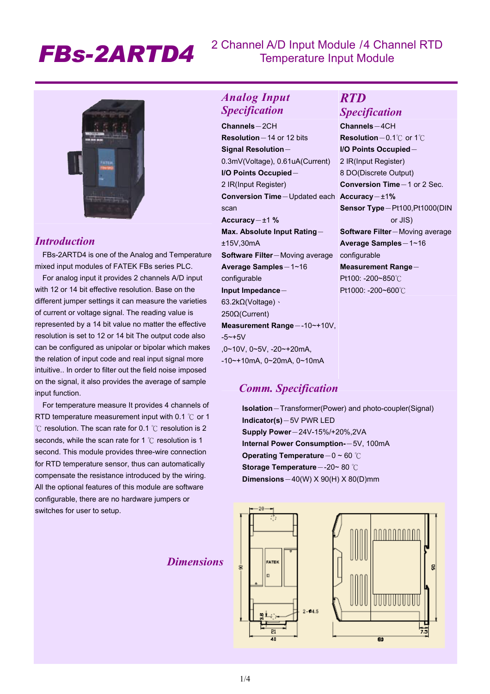### *FBs-2ARTD4* 2 Channel A/D Input Module /4 Channel RTD Temperature Input Module



### *Introduction*

 FBs-2ARTD4 is one of the Analog and Temperature mixed input modules of FATEK FBs series PLC.

 For analog input it provides 2 channels A/D input with 12 or 14 bit effective resolution. Base on the different jumper settings it can measure the varieties of current or voltage signal. The reading value is represented by a 14 bit value no matter the effective resolution is set to 12 or 14 bit The output code also can be configured as unipolar or bipolar which makes the relation of input code and real input signal more intuitive.. In order to filter out the field noise imposed on the signal, it also provides the average of sample input function.

 For temperature measure It provides 4 channels of RTD temperature measurement input with 0.1  $\degree$  or 1 ℃ resolution. The scan rate for 0.1 ℃ resolution is 2 seconds, while the scan rate for 1  $\degree$ C resolution is 1 second. This module provides three-wire connection for RTD temperature sensor, thus can automatically compensate the resistance introduced by the wiring. All the optional features of this module are software configurable, there are no hardware jumpers or switches for user to setup.

### *Dimensions*

### *Analog Input Specification*

**Channels**-2CH **Resolution**-14 or 12 bits **Signal Resolution**- 0.3mV(Voltage), 0.61uA(Current) **I/O Points Occupied**- 2 IR(Input Register) **Conversion Time**-Updated each **Accuracy**-±1**%** scan **Accuracy**-±1 **% Max. Absolute Input Rating**- ±15V,30mA **Software Filter**-Moving average **Average Samples**-1~16 configurable **Input Impedance**- 63.2kΩ(Voltage)、 250Ω(Current) **Measurement Range--10~+10V,**  $-5$   $+5$   $V$ ,0~10V, 0~5V, -20~+20mA, -10~+10mA, 0~20mA, 0~10mA

# *RTD*

*Specification* **Channels**-4CH **Resolution**-0.1℃ or 1℃ **I/O Points Occupied**- 2 IR(Input Register) 8 DO(Discrete Output) **Conversion Time**-1 or 2 Sec. **Sensor Type**-Pt100,Pt1000(DIN or JIS) **Software Filter**-Moving average **Average Samples**-1~16 configurable **Measurement Range**- Pt100: -200~850℃ Pt1000: -200~600℃

### *Comm. Specification*

 **Isolation**-Transformer(Power) and photo-coupler(Signal)  **Indicator(s)**-5V PWR LED  **Supply Power**-24V-15%/+20%,2VA  **Internal Power Consumption-**-5V, 100mA **Operating Temperature**-0 ~ 60 ℃  **Storage Temperature**--20~ 80 ℃  **Dimensions**-40(W) X 90(H) X 80(D)mm

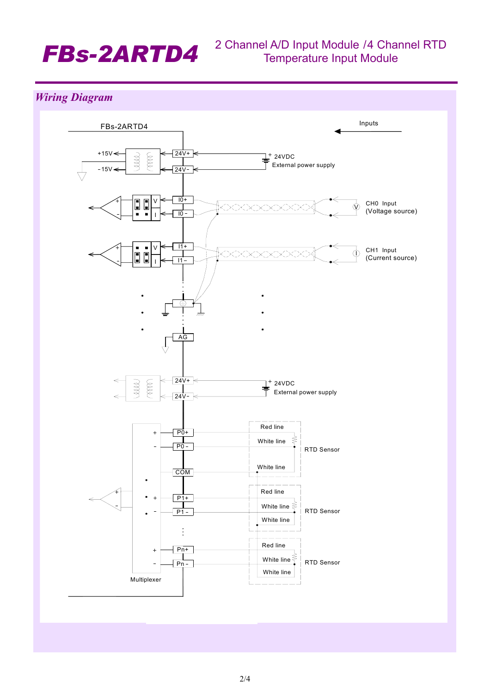## *FBs-2ARTD4* 2 Channel A/D Input Module /4 Channel RTD Temperature Input Module

*Wiring Diagram* 

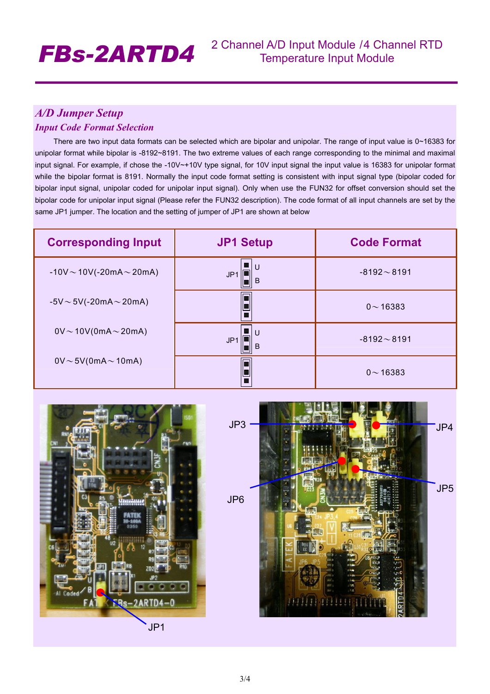### *A/D Jumper Setup*

### *Input Code Format Selection*

 There are two input data formats can be selected which are bipolar and unipolar. The range of input value is 0~16383 for unipolar format while bipolar is -8192~8191. The two extreme values of each range corresponding to the minimal and maximal input signal. For example, if chose the -10V~+10V type signal, for 10V input signal the input value is 16383 for unipolar format while the bipolar format is 8191. Normally the input code format setting is consistent with input signal type (bipolar coded for bipolar input signal, unipolar coded for unipolar input signal). Only when use the FUN32 for offset conversion should set the bipolar code for unipolar input signal (Please refer the FUN32 description). The code format of all input channels are set by the same JP1 jumper. The location and the setting of jumper of JP1 are shown at below

| <b>Corresponding Input</b>       | <b>JP1 Setup</b>     | <b>Code Format</b> |
|----------------------------------|----------------------|--------------------|
| $-10V \sim 10V(-20mA \sim 20mA)$ | JP <sub>1</sub><br>B | $-8192 - 8191$     |
| $-5V \sim 5V(-20mA \sim 20mA)$   |                      | $0 \sim 16383$     |
| $0V \sim 10V(0mA \sim 20mA)$     | JP1<br>B             | $-8192 - 8191$     |
| $0V \sim 5V(0mA \sim 10mA)$      |                      | $0 - 16383$        |





JP1